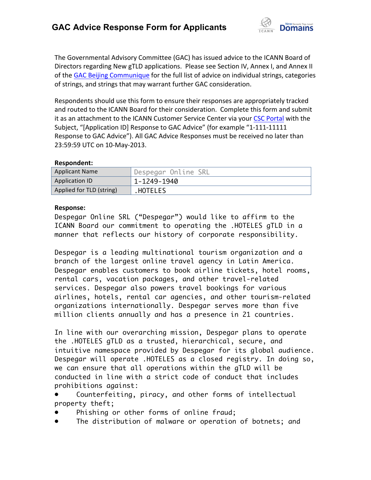

The Governmental Advisory Committee (GAC) has issued advice to the ICANN Board of Directors regarding New gTLD applications. Please see Section IV, Annex I, and Annex II of the GAC Beijing Communique for the full list of advice on individual strings, categories of strings, and strings that may warrant further GAC consideration.

Respondents should use this form to ensure their responses are appropriately tracked and routed to the ICANN Board for their consideration. Complete this form and submit it as an attachment to the ICANN Customer Service Center via your CSC Portal with the Subject, "[Application ID] Response to GAC Advice" (for example "1-111-11111 Response to GAC Advice"). All GAC Advice Responses must be received no later than 23:59:59 UTC on 10-May-2013.

## **Respondent:**

| <b>Applicant Name</b>    | Despegar Online SRL |
|--------------------------|---------------------|
| Application ID           | 1-1249-1940         |
| Applied for TLD (string) | .HOTELES            |

## **Response:**

Despegar Online SRL ("Despegar") would like to affirm to the ICANN Board our commitment to operating the .HOTELES gTLD in a manner that reflects our history of corporate responsibility.

Despegar is a leading multinational tourism organization and a branch of the largest online travel agency in Latin America. Despegar enables customers to book airline tickets, hotel rooms, rental cars, vacation packages, and other travel-related services. Despegar also powers travel bookings for various airlines, hotels, rental car agencies, and other tourism-related organizations internationally. Despegar serves more than five million clients annually and has a presence in 21 countries.

In line with our overarching mission, Despegar plans to operate the .HOTELES gTLD as a trusted, hierarchical, secure, and intuitive namespace provided by Despegar for its global audience. Despegar will operate .HOTELES as a closed registry. In doing so, we can ensure that all operations within the gTLD will be conducted in line with a strict code of conduct that includes prohibitions against:

Counterfeiting, piracy, and other forms of intellectual property theft;

- Phishing or other forms of online fraud;
- The distribution of malware or operation of botnets; and